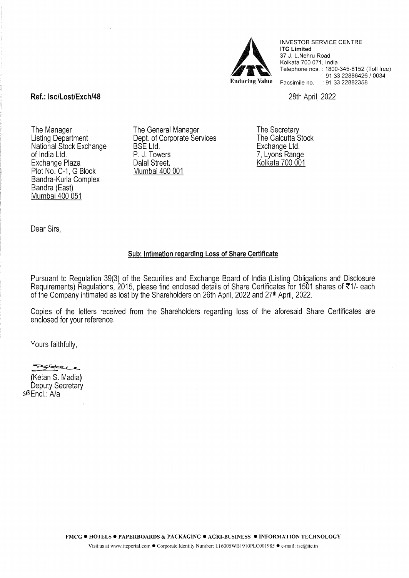

INVESTOR SERVICE CENTRE lTC Limited 37 J. L.Nehru Road Kolkata 700 071, India Telephone nos. : 1800-345-8152 (Toll free) 91 33 22886426 I 0034 Facsimile no. : 91 33 22882358

28th April, 2022

## **Ref.: lsc/Lost/Exch/48**

The Manager Listing Department National Stock Exchange of India Ltd. Exchange Plaza Plot No. C-1, G Block Bandra-Kurla Complex Bandra (East) Mumbai 400 051

The General Manager Dept. of Corporate Services BSE Ltd. P. J. Towers Dalal Street, Mumbai 400 001

The Secretary The Calcutta Stock Exchange Ltd. 7, Lyons Range Kolkata 700 001

Dear Sirs,

## **Sub: Intimation regarding Loss of Share Certificate**

Pursuant to Regulation 39(3) of the Securities and Exchange Board of India (Listing Obligations and Disclosure Requirements) Regulations, 2015, please find enclosed details of Share Certificates for 1501 shares of ₹1/- each of the Company intimated as lost by the Shareholders on 26th April, 2022 and 27<sup>th</sup> April, 2022.

Copies of the letters received from the Shareholders regarding loss of the aforesaid Share Certificates are enclosed for your reference.

Yours faithfully,

(Ketan S. Madia) Yours faithfully,<br><del>- Extra</del><br>(Ketan S. Madia) Deputy Secretary sBEncl.: A/a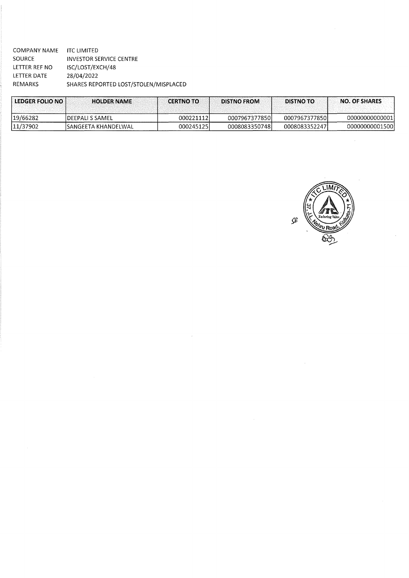| COMPANY NAME   | ITC LIMITED                           |
|----------------|---------------------------------------|
| SOURCE         | INVESTOR SERVICE CENTRE               |
| LETTER REF NO  | ISC/LOST/EXCH/48                      |
| LETTER DATE    | 28/04/2022                            |
| <b>REMARKS</b> | SHARES REPORTED LOST/STOLEN/MISPLACED |
|                |                                       |

| <b>LEDGER FOLIO NOT</b> | <b>HOLDER NAME</b>      | <b>CERTNO TO</b> | <b>DISTNO FROM</b> | <b>DISTNO TO</b> | <b>NO. OF SHARES</b> |
|-------------------------|-------------------------|------------------|--------------------|------------------|----------------------|
| 19/66282                | <b>IDEEPALI S SAMEL</b> | 0002211121       | 0007967377850l     | 00079673778501   | 000000000000011      |
| 11/37902                | 'SANGEETA KHANDELWAL    | 000245125        | 00080833507481     | 00080833522471   | 00000000001500l      |



 $\bar{z}$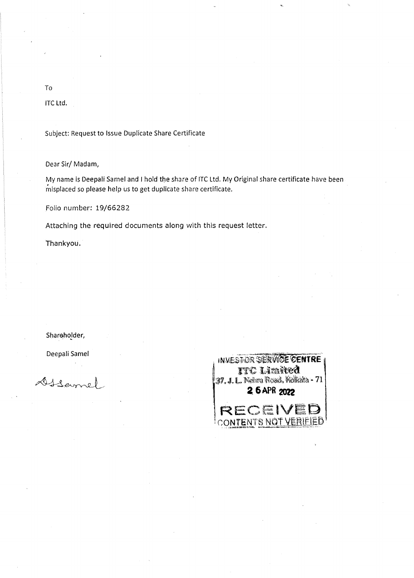## To

ITC Ltd.

Subject: Request to Issue Duplicate Share Certificate

Dear Sir/Madam,

My name is Deepali Samel and I hold the share of ITC Ltd. My Original share certificate have been misplaced so please help us to get duplicate share certificate.

Folio number: 19/66282

Attaching the required documents along with this request letter.

Thankyou.

Shareholder,

Deepali Samel

DISame